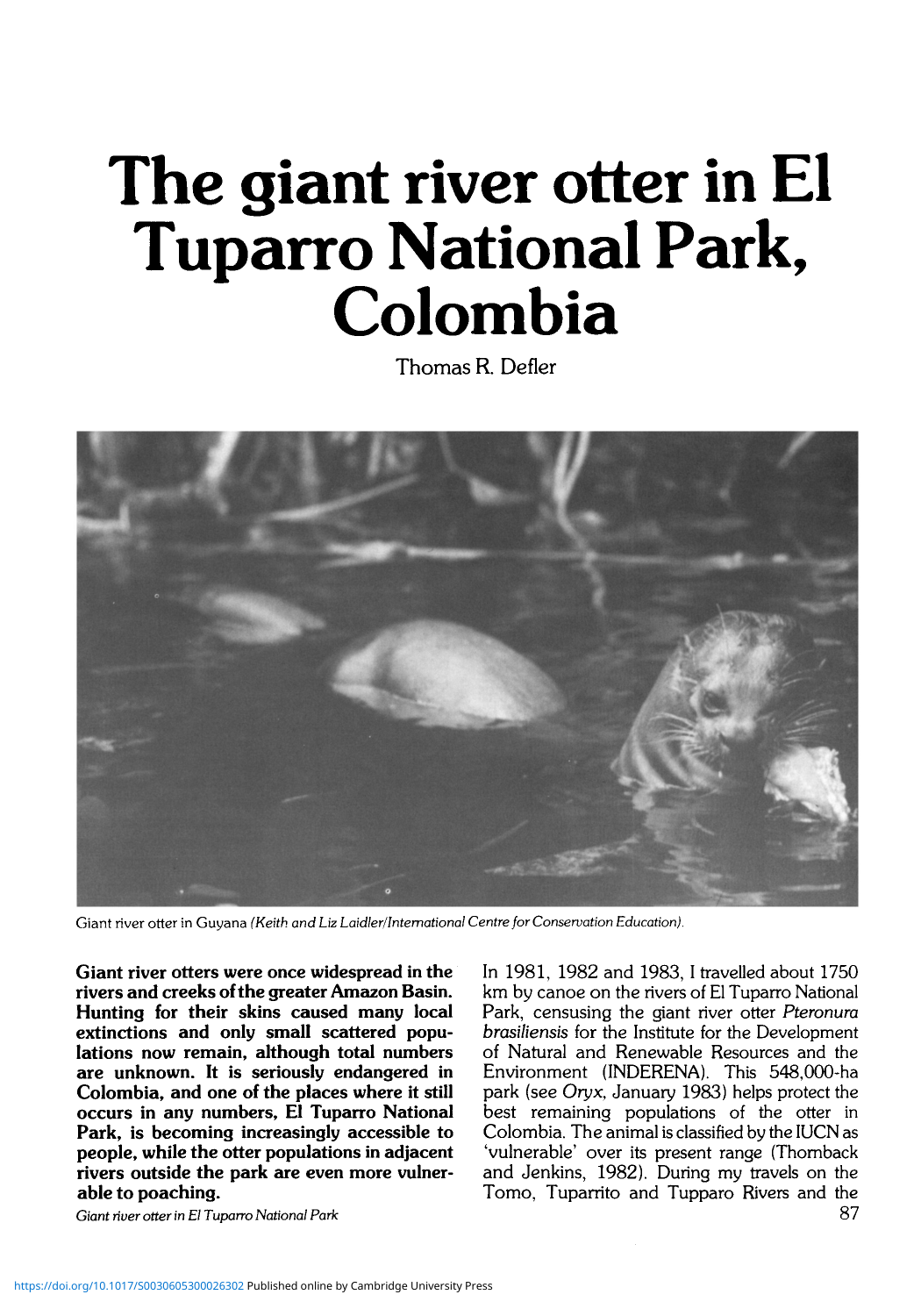## **The giant river otter in El Tuparro National Park, Colombia**

Thomas R. Defler



Giant river otter in Guyana *(Keith, and Liz Laidler/Intemational Centre for Conservation Education).*

**Giant river otters were once widespread in the rivers and creeks of the greater Amazon Basin. Hunting for their skins caused many local extinctions and only small scattered popu- lations now remain, although total numbers are unknown. It is seriously endangered in Colombia, and one of the places where it still occurs in any numbers, El Tuparro National Park, is becoming increasingly accessible to people, while the otter populations in adjacent rivers outside the park are even more vulner- able to poaching.**

*Giant river otter in El Tuparro National Park*

In 1981, 1982 and 1983, I travelled about 1750 km by canoe on the rivers of El Tuparro National Park, censusing the giant river otter *Pteronura brasiliensis* for the Institute for the Development of Natural and Renewable Resources and the Environment (INDERENA). This 548,000-ha park (see *Oryx,* January 1983) helps protect the best remaining populations of the otter in Colombia. The animal is classified by the IUCN as 'vulnerable' over its present range (Thomback and Jenkins, 1982). During my travels on the Tomo, Tuparrito and Tupparo Rivers and the 87